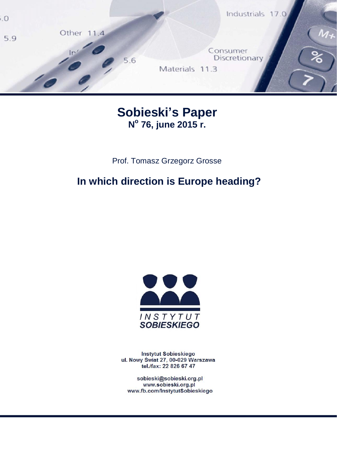

# **Sobieski's Paper N o 76, june 2015 r.**

Prof. Tomasz Grzegorz Grosse

# **In which direction is Europe heading?**



Instytut Sobieskiego ul. Nowy Świat 27, 00-029 Warszawa tel./fax: 22 826 67 47

sobieski@sobieski.org.pl www.sobieski.org.pl www.fb.com/InstytutSobieskiego

sobieski@sobieski.org.pl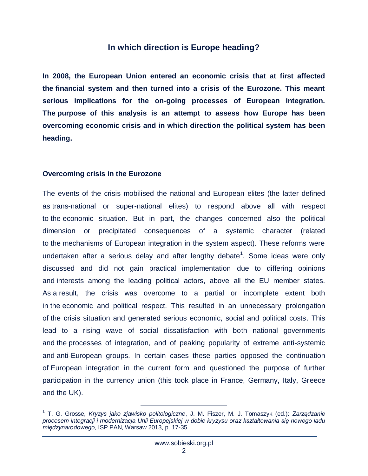### **In which direction is Europe heading?**

**In 2008, the European Union entered an economic crisis that at first affected the financial system and then turned into a crisis of the Eurozone. This meant serious implications for the on-going processes of European integration. The purpose of this analysis is an attempt to assess how Europe has been overcoming economic crisis and in which direction the political system has been heading.**

#### **Overcoming crisis in the Eurozone**

The events of the crisis mobilised the national and European elites (the latter defined as trans-national or super-national elites) to respond above all with respect to the economic situation. But in part, the changes concerned also the political dimension or precipitated consequences of a systemic character (related to the mechanisms of European integration in the system aspect). These reforms were undertaken after a serious delay and after lengthy debate<sup>1</sup>. Some ideas were only discussed and did not gain practical implementation due to differing opinions and interests among the leading political actors, above all the EU member states. As a result, the crisis was overcome to a partial or incomplete extent both in the economic and political respect. This resulted in an unnecessary prolongation of the crisis situation and generated serious economic, social and political costs. This lead to a rising wave of social dissatisfaction with both national governments and the processes of integration, and of peaking popularity of extreme anti-systemic and anti-European groups. In certain cases these parties opposed the continuation of European integration in the current form and questioned the purpose of further participation in the currency union (this took place in France, Germany, Italy, Greece and the UK).

<sup>1</sup> T. G. Grosse, *Kryzys jako zjawisko politologiczne*, J. M. Fiszer, M. J. Tomaszyk (ed.): *Zarządzanie procesem integracji i modernizacja Unii Europejskiej w dobie kryzysu oraz kształtowania się nowego ładu międzynarodowego*, ISP PAN, Warsaw 2013, p. 17-35.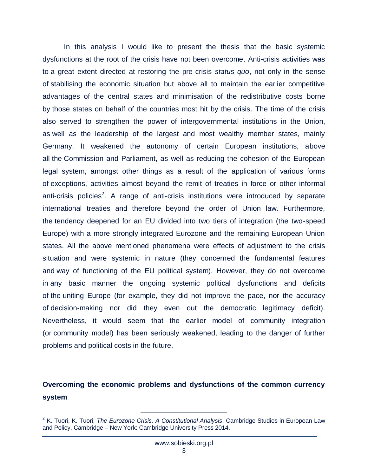In this analysis I would like to present the thesis that the basic systemic dysfunctions at the root of the crisis have not been overcome. Anti-crisis activities was to a great extent directed at restoring the pre-crisis *status quo*, not only in the sense of stabilising the economic situation but above all to maintain the earlier competitive advantages of the central states and minimisation of the redistributive costs borne by those states on behalf of the countries most hit by the crisis. The time of the crisis also served to strengthen the power of intergovernmental institutions in the Union, as well as the leadership of the largest and most wealthy member states, mainly Germany. It weakened the autonomy of certain European institutions, above all the Commission and Parliament, as well as reducing the cohesion of the European legal system, amongst other things as a result of the application of various forms of exceptions, activities almost beyond the remit of treaties in force or other informal anti-crisis policies<sup>2</sup>. A range of anti-crisis institutions were introduced by separate international treaties and therefore beyond the order of Union law. Furthermore, the tendency deepened for an EU divided into two tiers of integration (the two-speed Europe) with a more strongly integrated Eurozone and the remaining European Union states. All the above mentioned phenomena were effects of adjustment to the crisis situation and were systemic in nature (they concerned the fundamental features and way of functioning of the EU political system). However, they do not overcome in any basic manner the ongoing systemic political dysfunctions and deficits of the uniting Europe (for example, they did not improve the pace, nor the accuracy of decision-making nor did they even out the democratic legitimacy deficit). Nevertheless, it would seem that the earlier model of community integration (or community model) has been seriously weakened, leading to the danger of further problems and political costs in the future.

### **Overcoming the economic problems and dysfunctions of the common currency system**

<sup>2</sup> K. Tuori, K. Tuori, *The Eurozone Crisis. A Constitutional Analysis*, Cambridge Studies in European Law and Policy, Cambridge – New York: Cambridge University Press 2014.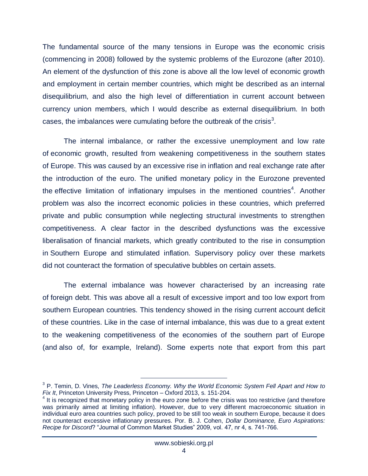The fundamental source of the many tensions in Europe was the economic crisis (commencing in 2008) followed by the systemic problems of the Eurozone (after 2010). An element of the dysfunction of this zone is above all the low level of economic growth and employment in certain member countries, which might be described as an internal disequilibrium, and also the high level of differentiation in current account between currency union members, which I would describe as external disequilibrium. In both cases, the imbalances were cumulating before the outbreak of the crisis<sup>3</sup>.

The internal imbalance, or rather the excessive unemployment and low rate of economic growth, resulted from weakening competitiveness in the southern states of Europe. This was caused by an excessive rise in inflation and real exchange rate after the introduction of the euro. The unified monetary policy in the Eurozone prevented the effective limitation of inflationary impulses in the mentioned countries<sup>4</sup>. Another problem was also the incorrect economic policies in these countries, which preferred private and public consumption while neglecting structural investments to strengthen competitiveness. A clear factor in the described dysfunctions was the excessive liberalisation of financial markets, which greatly contributed to the rise in consumption in Southern Europe and stimulated inflation. Supervisory policy over these markets did not counteract the formation of speculative bubbles on certain assets.

The external imbalance was however characterised by an increasing rate of foreign debt. This was above all a result of excessive import and too low export from southern European countries. This tendency showed in the rising current account deficit of these countries. Like in the case of internal imbalance, this was due to a great extent to the weakening competitiveness of the economies of the southern part of Europe (and also of, for example, Ireland). Some experts note that export from this part

<sup>3</sup> P. Temin, D. Vines, *The Leaderless Economy. Why the World Economic System Fell Apart and How to Fix It*, Princeton University Press, Princeton – Oxford 2013, s. 151-204.

<sup>&</sup>lt;sup>4</sup> It is recognized that monetary policy in the euro zone before the crisis was too restrictive (and therefore was primarily aimed at limiting inflation). However, due to very different macroeconomic situation in individual euro area countries such policy, proved to be still too weak in southern Europe, because it does not counteract excessive inflationary pressures. Por. B. J. Cohen, *Dollar Dominance, Euro Aspirations: Recipe for Discord*? "Journal of Common Market Studies" 2009, vol. 47, nr 4, s. 741-766.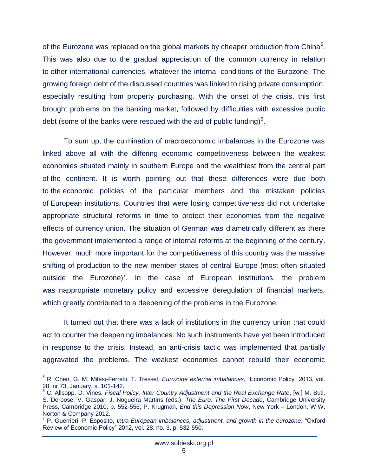of the Eurozone was replaced on the global markets by cheaper production from China<sup>5</sup>. This was also due to the gradual appreciation of the common currency in relation to other international currencies, whatever the internal conditions of the Eurozone. The growing foreign debt of the discussed countries was linked to rising private consumption, especially resulting from property purchasing. With the onset of the crisis, this first brought problems on the banking market, followed by difficulties with excessive public debt (some of the banks were rescued with the aid of public funding) $6$ .

To sum up, the culmination of macroeconomic imbalances in the Eurozone was linked above all with the differing economic competitiveness between the weakest economies situated mainly in southern Europe and the wealthiest from the central part of the continent. It is worth pointing out that these differences were due both to the economic policies of the particular members and the mistaken policies of European institutions. Countries that were losing competitiveness did not undertake appropriate structural reforms in time to protect their economies from the negative effects of currency union. The situation of German was diametrically different as there the government implemented a range of internal reforms at the beginning of the century. However, much more important for the competitiveness of this country was the massive shifting of production to the new member states of central Europe (most often situated outside the Eurozone)<sup>7</sup>. In the case of European institutions, the problem was inappropriate monetary policy and excessive deregulation of financial markets, which greatly contributed to a deepening of the problems in the Eurozone.

It turned out that there was a lack of institutions in the currency union that could act to counter the deepening imbalances. No such instruments have yet been introduced in response to the crisis. Instead, an anti-crisis tactic was implemented that partially aggravated the problems. The weakest economies cannot rebuild their economic

<sup>5</sup> R. Chen, G. M. Milesi-Ferretti, T. Tressel, *Eurozone external imbalances*, "Economic Policy" 2013, vol. 28, nr 73, January, s. 101-142.

<sup>6</sup> C. Allsopp, D. Vines, *Fiscal Policy, Inter Country Adjustment and the Real Exchange Rate*, [w:] M. Buti, S. Deroose, V. Gaspar, J. Nogueira Martins (eds.): *The Euro: The First Decade*, Cambridge University Press, Cambridge 2010, p. 552-556; P. Krugman, *End this Depression Now*, New York – London, W.W. Norton & Company 2012.

<sup>7</sup> P. Guerrieri, P. Esposito, *Intra-European imbalances, adjustment, and growth in the eurozone*, "Oxford Review of Economic Policy" 2012, vol. 28, no. 3, p. 532-550.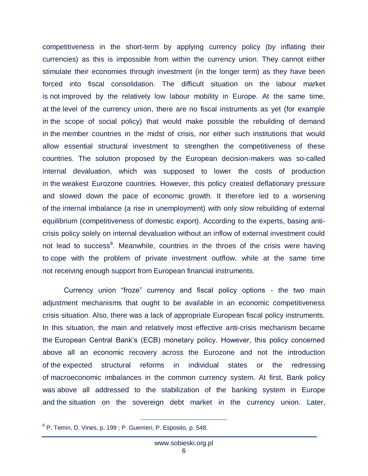competitiveness in the short-term by applying currency policy (by inflating their currencies) as this is impossible from within the currency union. They cannot either stimulate their economies through investment (in the longer term) as they have been forced into fiscal consolidation. The difficult situation on the labour market is not improved by the relatively low labour mobility in Europe. At the same time, at the level of the currency union, there are no fiscal instruments as yet (for example in the scope of social policy) that would make possible the rebuilding of demand in the member countries in the midst of crisis, nor either such institutions that would allow essential structural investment to strengthen the competitiveness of these countries. The solution proposed by the European decision-makers was so-called internal devaluation, which was supposed to lower the costs of production in the weakest Eurozone countries. However, this policy created deflationary pressure and slowed down the pace of economic growth. It therefore led to a worsening of the internal imbalance (a rise in unemployment) with only slow rebuilding of external equilibrium (competitiveness of domestic export). According to the experts, basing anticrisis policy solely on internal devaluation without an inflow of external investment could not lead to success<sup>8</sup>. Meanwhile, countries in the throes of the crisis were having to cope with the problem of private investment outflow, while at the same time not receiving enough support from European financial instruments.

Currency union "froze" currency and fiscal policy options - the two main adjustment mechanisms that ought to be available in an economic competitiveness crisis situation. Also, there was a lack of appropriate European fiscal policy instruments. In this situation, the main and relatively most effective anti-crisis mechanism became the European Central Bank's (ECB) monetary policy. However, this policy concerned above all an economic recovery across the Eurozone and not the introduction of the expected structural reforms in individual states or the redressing of macroeconomic imbalances in the common currency system. At first, Bank policy was above all addressed to the stabilization of the banking system in Europe and the situation on the sovereign debt market in the currency union. Later,

<sup>&</sup>lt;sup>8</sup> P. Temin, D. Vines, p. 199; P. Guerrieri, P. Esposito, p. 548.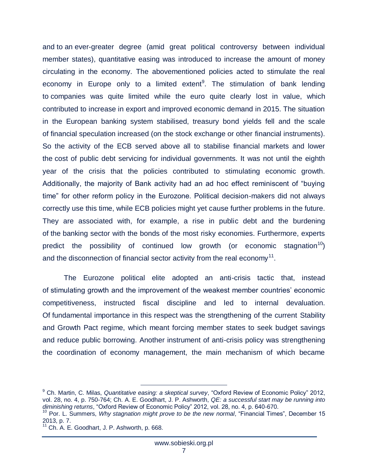and to an ever-greater degree (amid great political controversy between individual member states), quantitative easing was introduced to increase the amount of money circulating in the economy. The abovementioned policies acted to stimulate the real economy in Europe only to a limited extent<sup>9</sup>. The stimulation of bank lending to companies was quite limited while the euro quite clearly lost in value, which contributed to increase in export and improved economic demand in 2015. The situation in the European banking system stabilised, treasury bond yields fell and the scale of financial speculation increased (on the stock exchange or other financial instruments). So the activity of the ECB served above all to stabilise financial markets and lower the cost of public debt servicing for individual governments. It was not until the eighth year of the crisis that the policies contributed to stimulating economic growth. Additionally, the majority of Bank activity had an ad hoc effect reminiscent of "buying time" for other reform policy in the Eurozone. Political decision-makers did not always correctly use this time, while ECB policies might yet cause further problems in the future. They are associated with, for example, a rise in public debt and the burdening of the banking sector with the bonds of the most risky economies. Furthermore, experts predict the possibility of continued low growth (or economic stagnation<sup>10</sup>) and the disconnection of financial sector activity from the real economy<sup>11</sup>.

The Eurozone political elite adopted an anti-crisis tactic that, instead of stimulating growth and the improvement of the weakest member countries' economic competitiveness, instructed fiscal discipline and led to internal devaluation. Of fundamental importance in this respect was the strengthening of the current Stability and Growth Pact regime, which meant forcing member states to seek budget savings and reduce public borrowing. Another instrument of anti-crisis policy was strengthening the coordination of economy management, the main mechanism of which became

<sup>9</sup> Ch. Martin, C. Milas, *Quantitative easing: a skeptical survey*, "Oxford Review of Economic Policy" 2012, vol. 28, no. 4, p. 750-764; Ch. A. E. Goodhart, J. P. Ashworth, *QE: a successful start may be running into diminishing returns*, "Oxford Review of Economic Policy" 2012, vol. 28, no. 4, p. 640-670.

<sup>&</sup>lt;sup>10</sup> Por. L. Summers, *Why stagnation might prove to be the new normal*, "Financial Times", December 15 2013, p. 7.

 $11$  Ch. A. E. Goodhart, J. P. Ashworth, p. 668.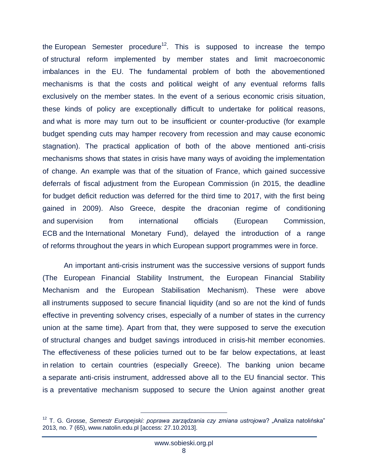the European Semester procedure<sup>12</sup>. This is supposed to increase the tempo of structural reform implemented by member states and limit macroeconomic imbalances in the EU. The fundamental problem of both the abovementioned mechanisms is that the costs and political weight of any eventual reforms falls exclusively on the member states. In the event of a serious economic crisis situation, these kinds of policy are exceptionally difficult to undertake for political reasons, and what is more may turn out to be insufficient or counter-productive (for example budget spending cuts may hamper recovery from recession and may cause economic stagnation). The practical application of both of the above mentioned anti-crisis mechanisms shows that states in crisis have many ways of avoiding the implementation of change. An example was that of the situation of France, which gained successive deferrals of fiscal adjustment from the European Commission (in 2015, the deadline for budget deficit reduction was deferred for the third time to 2017, with the first being gained in 2009). Also Greece, despite the draconian regime of conditioning and supervision from international officials (European Commission, ECB and the International Monetary Fund), delayed the introduction of a range of reforms throughout the years in which European support programmes were in force.

An important anti-crisis instrument was the successive versions of support funds (The European Financial Stability Instrument, the European Financial Stability Mechanism and the European Stabilisation Mechanism). These were above all instruments supposed to secure financial liquidity (and so are not the kind of funds effective in preventing solvency crises, especially of a number of states in the currency union at the same time). Apart from that, they were supposed to serve the execution of structural changes and budget savings introduced in crisis-hit member economies. The effectiveness of these policies turned out to be far below expectations, at least in relation to certain countries (especially Greece). The banking union became a separate anti-crisis instrument, addressed above all to the EU financial sector. This is a preventative mechanism supposed to secure the Union against another great

<sup>&</sup>lt;sup>12</sup> T. G. Grosse, *Semestr Europejski: poprawa zarządzania czy zmiana ustrojowa? "Analiza natolińska"* 2013, no. 7 (65), www.natolin.edu.pl [access: 27.10.2013].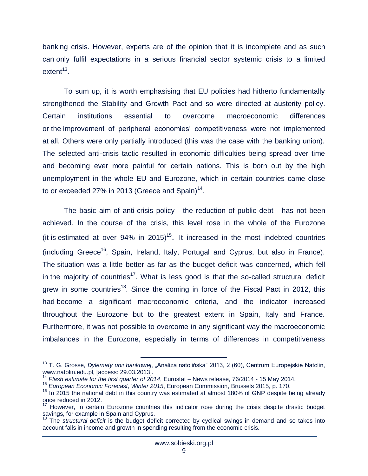banking crisis. However, experts are of the opinion that it is incomplete and as such can only fulfil expectations in a serious financial sector systemic crisis to a limited  $extent<sup>13</sup>$ .

To sum up, it is worth emphasising that EU policies had hitherto fundamentally strengthened the Stability and Growth Pact and so were directed at austerity policy. Certain institutions essential to overcome macroeconomic differences or the improvement of peripheral economies' competitiveness were not implemented at all. Others were only partially introduced (this was the case with the banking union). The selected anti-crisis tactic resulted in economic difficulties being spread over time and becoming ever more painful for certain nations. This is born out by the high unemployment in the whole EU and Eurozone, which in certain countries came close to or exceeded 27% in 2013 (Greece and Spain)<sup>14</sup>.

The basic aim of anti-crisis policy - the reduction of public debt - has not been achieved. In the course of the crisis, this level rose in the whole of the Eurozone (it is estimated at over  $94\%$  in  $2015$ )<sup>15</sup>. It increased in the most indebted countries (including Greece<sup>16</sup>, Spain, Ireland, Italy, Portugal and Cyprus, but also in France). The situation was a little better as far as the budget deficit was concerned, which fell in the majority of countries<sup>17</sup>. What is less good is that the so-called structural deficit grew in some countries<sup>18</sup>. Since the coming in force of the Fiscal Pact in 2012, this had become a significant macroeconomic criteria, and the indicator increased throughout the Eurozone but to the greatest extent in Spain, Italy and France. Furthermore, it was not possible to overcome in any significant way the macroeconomic imbalances in the Eurozone, especially in terms of differences in competitiveness

<sup>&</sup>lt;sup>13</sup> T. G. Grosse, *Dylematy unii bankowej*, "Analiza natolińska" 2013, 2 (60), Centrum Europejskie Natolin, www.natolin.edu.pl, [access: 29.03.2013].

<sup>14</sup> *Flash estimate for the first quarter of 2014*, Eurostat – News release, 76/2014 - 15 May 2014.

<sup>15</sup> *European Economic Forecast, Winter 2015*, European Commission, Brussels 2015, p. 170.

 $16$  In 2015 the national debt in this country was estimated at almost 180% of GNP despite being already once reduced in 2012.

 $17$  However, in certain Eurozone countries this indicator rose during the crisis despite drastic budget savings, for example in Spain and Cyprus.

<sup>18</sup> The *structural deficit* is the budget deficit corrected by cyclical swings in demand and so takes into account falls in income and growth in spending resulting from the economic crisis.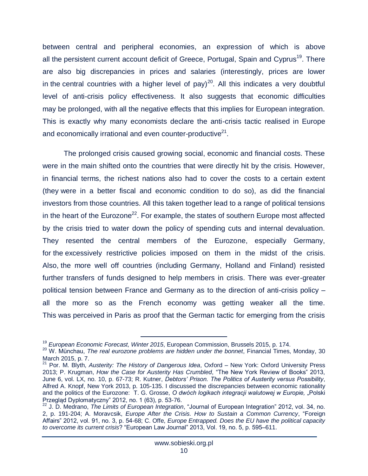between central and peripheral economies, an expression of which is above all the persistent current account deficit of Greece, Portugal, Spain and Cyprus<sup>19</sup>. There are also big discrepancies in prices and salaries (interestingly, prices are lower in the central countries with a higher level of pay)<sup>20</sup>. All this indicates a very doubtful level of anti-crisis policy effectiveness. It also suggests that economic difficulties may be prolonged, with all the negative effects that this implies for European integration. This is exactly why many economists declare the anti-crisis tactic realised in Europe and economically irrational and even counter-productive $21$ .

The prolonged crisis caused growing social, economic and financial costs. These were in the main shifted onto the countries that were directly hit by the crisis. However, in financial terms, the richest nations also had to cover the costs to a certain extent (they were in a better fiscal and economic condition to do so), as did the financial investors from those countries. All this taken together lead to a range of political tensions in the heart of the Eurozone<sup>22</sup>. For example, the states of southern Europe most affected by the crisis tried to water down the policy of spending cuts and internal devaluation. They resented the central members of the Eurozone, especially Germany, for the excessively restrictive policies imposed on them in the midst of the crisis. Also, the more well off countries (including Germany, Holland and Finland) resisted further transfers of funds designed to help members in crisis. There was ever-greater political tension between France and Germany as to the direction of anti-crisis policy – all the more so as the French economy was getting weaker all the time. This was perceived in Paris as proof that the German tactic for emerging from the crisis

<sup>19</sup> *European Economic Forecast, Winter 2015*, European Commission, Brussels 2015, p. 174.

<sup>20</sup> W. Münchau, *The real eurozone problems are hidden under the bonnet*, Financial Times, Monday, 30 March 2015, p. 7.

<sup>21</sup> Por. M. Blyth, *Austerity: The History of Dangerous Idea*, Oxford – New York: Oxford University Press 2013; P. Krugman, *How the Case for Austerity Has Crumbled*, "The New York Review of Books" 2013, June 6, vol. LX, no. 10, p. 67-73; R. Kutner, *Debtors' Prison. The Politics of Austerity versus Possibility*, Alfred A. Knopf, New York 2013, p. 105-135. I discussed the discrepancies between economic rationality and the politics of the Eurozone: T. G. Grosse, O dwóch logikach integracji walutowej w Europie, "Polski Przegląd Dyplomatyczny" 2012, no. 1 (63), p. 53-76.

<sup>22</sup> J. D. Medrano, *The Limits of European Integration*, "Journal of European Integration" 2012, vol. 34, no. 2, p. 191-204; A. Moravcsik, *Europe After the Crisis. How to Sustain a Common Currency*, "Foreign Affairs" 2012, vol. 91, no. 3, p. 54-68; C. Offe, *Europe Entrapped. Does the EU have the political capacity to overcome its current crisis*? "European Law Journal" 2013, Vol. 19, no. 5, p. 595–611.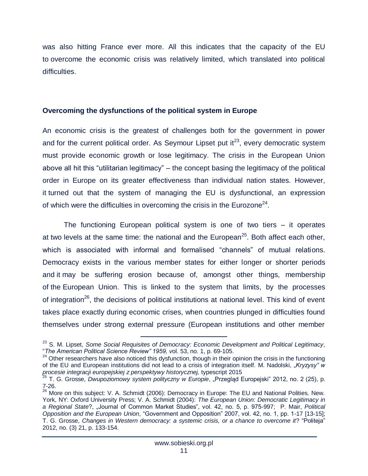was also hitting France ever more. All this indicates that the capacity of the EU to overcome the economic crisis was relatively limited, which translated into political difficulties.

#### **Overcoming the dysfunctions of the political system in Europe**

An economic crisis is the greatest of challenges both for the government in power and for the current political order. As Seymour Lipset put  $it^{23}$ , every democratic system must provide economic growth or lose legitimacy. The crisis in the European Union above all hit this "utilitarian legitimacy" – the concept basing the legitimacy of the political order in Europe on its greater effectiveness than individual nation states. However, it turned out that the system of managing the EU is dysfunctional, an expression of which were the difficulties in overcoming the crisis in the Eurozone $^{24}$ .

The functioning European political system is one of two tiers – it operates at two levels at the same time: the national and the European<sup>25</sup>. Both affect each other, which is associated with informal and formalised "channels" of mutual relations. Democracy exists in the various member states for either longer or shorter periods and it may be suffering erosion because of, amongst other things, membership of the European Union. This is linked to the system that limits, by the processes of integration<sup>26</sup>, the decisions of political institutions at national level. This kind of event takes place exactly during economic crises, when countries plunged in difficulties found themselves under strong external pressure (European institutions and other member

<sup>23</sup> S. M. Lipset, *Some Social Requisites of Democracy: Economic Development and Political Legitimacy*, "*The American Political Science Review" 1959, v*ol. 53, no. 1, p. 69-105.

<sup>&</sup>lt;sup>24</sup> Other researchers have also noticed this dysfunction, though in their opinion the crisis in the functioning of the EU and European institutions did not lead to a crisis of integration itself. M. Nadolski, *"Kryzysy" w procesie integracji europejskiej z perspektywy historycznej,* typescript 2015

<sup>&</sup>lt;sup>25</sup> T. G. Grosse, *Dwupoziomowy system polityczny w Europie*, "Przegląd Europejski" 2012, no. 2 (25), p. 7-26.

<sup>&</sup>lt;sup>26</sup> More on this subject: V. A. Schmidt (2006): Democracy in Europe: The EU and National Polities. New. York, NY: Oxford University Press; V. A. Schmidt (2004): *The European Union: Democratic Legitimacy in a Regional State*?, "Journal of Common Market Studies", vol. 42, no. 5, p. 975-997; P. Mair, *Political Opposition and the European Union*, "Government and Opposition" 2007, vol. 42, no. 1, pp. 1-17 [13-15]; T. G. Grosse, *Changes in Western democracy: a systemic crisis, or a chance to overcome it*? "Politeja" 2012, no. (3) 21, p. 133-154.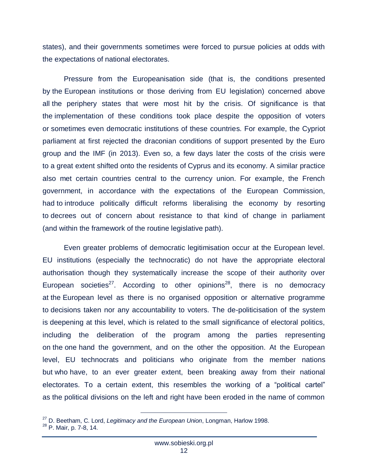states), and their governments sometimes were forced to pursue policies at odds with the expectations of national electorates.

Pressure from the Europeanisation side (that is, the conditions presented by the European institutions or those deriving from EU legislation) concerned above all the periphery states that were most hit by the crisis. Of significance is that the implementation of these conditions took place despite the opposition of voters or sometimes even democratic institutions of these countries. For example, the Cypriot parliament at first rejected the draconian conditions of support presented by the Euro group and the IMF (in 2013). Even so, a few days later the costs of the crisis were to a great extent shifted onto the residents of Cyprus and its economy. A similar practice also met certain countries central to the currency union. For example, the French government, in accordance with the expectations of the European Commission, had to introduce politically difficult reforms liberalising the economy by resorting to decrees out of concern about resistance to that kind of change in parliament (and within the framework of the routine legislative path).

Even greater problems of democratic legitimisation occur at the European level. EU institutions (especially the technocratic) do not have the appropriate electoral authorisation though they systematically increase the scope of their authority over European societies<sup>27</sup>. According to other opinions<sup>28</sup>, there is no democracy at the European level as there is no organised opposition or alternative programme to decisions taken nor any accountability to voters. The de-politicisation of the system is deepening at this level, which is related to the small significance of electoral politics, including the deliberation of the program among the parties representing on the one hand the government, and on the other the opposition. At the European level, EU technocrats and politicians who originate from the member nations but who have, to an ever greater extent, been breaking away from their national electorates. To a certain extent, this resembles the working of a "political cartel" as the political divisions on the left and right have been eroded in the name of common

<sup>27</sup> D. Beetham, C. Lord, *Legitimacy and the European Union*, Longman, Harlow 1998.

<sup>&</sup>lt;sup>28</sup> P. Mair, p. 7-8, 14.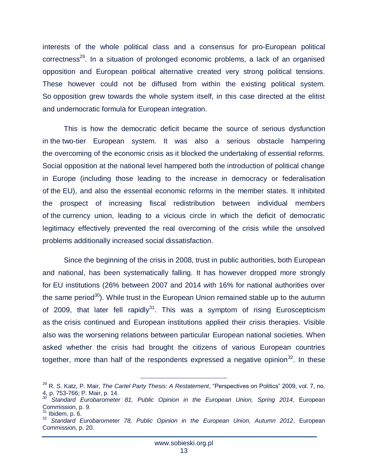interests of the whole political class and a consensus for pro-European political correctness<sup>29</sup>. In a situation of prolonged economic problems, a lack of an organised opposition and European political alternative created very strong political tensions. These however could not be diffused from within the existing political system. So opposition grew towards the whole system itself, in this case directed at the elitist and undemocratic formula for European integration.

This is how the democratic deficit became the source of serious dysfunction in the two-tier European system. It was also a serious obstacle hampering the overcoming of the economic crisis as it blocked the undertaking of essential reforms. Social opposition at the national level hampered both the introduction of political change in Europe (including those leading to the increase in democracy or federalisation of the EU), and also the essential economic reforms in the member states. It inhibited the prospect of increasing fiscal redistribution between individual members of the currency union, leading to a vicious circle in which the deficit of democratic legitimacy effectively prevented the real overcoming of the crisis while the unsolved problems additionally increased social dissatisfaction.

Since the beginning of the crisis in 2008, trust in public authorities, both European and national, has been systematically falling. It has however dropped more strongly for EU institutions (26% between 2007 and 2014 with 16% for national authorities over the same period<sup>30</sup>). While trust in the European Union remained stable up to the autumn of 2009, that later fell rapidly<sup>31</sup>. This was a symptom of rising Euroscepticism as the crisis continued and European institutions applied their crisis therapies. Visible also was the worsening relations between particular European national societies. When asked whether the crisis had brought the citizens of various European countries together, more than half of the respondents expressed a negative opinion $^{32}$ . In these

<sup>29</sup> R. S. Katz, P. Mair, *The Cartel Party Thesis: A Restatement*, "Perspectives on Politics" 2009, vol. 7, no. 4, p. 753-766; P. Mair, p. 14.

Standard Eurobarometer 81, Public Opinion in the European Union, Spring 2014, European Commission, p. 9.

Ibidem, p. 6.

<sup>32</sup> *Standard Eurobarometer 78, Public Opinion in the European Union, Autumn 2012*, European Commission, p. 20.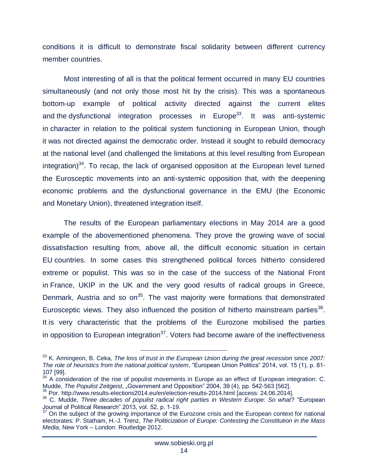conditions it is difficult to demonstrate fiscal solidarity between different currency member countries.

Most interesting of all is that the political ferment occurred in many EU countries simultaneously (and not only those most hit by the crisis). This was a spontaneous bottom-up example of political activity directed against the current elites and the dysfunctional integration processes in Europe<sup>33</sup>. It was anti-systemic in character in relation to the political system functioning in European Union, though it was not directed against the democratic order. Instead it sought to rebuild democracy at the national level (and challenged the limitations at this level resulting from European integration) $34$ . To recap, the lack of organised opposition at the European level turned the Eurosceptic movements into an anti-systemic opposition that, with the deepening economic problems and the dysfunctional governance in the EMU (the Economic and Monetary Union), threatened integration itself.

The results of the European parliamentary elections in May 2014 are a good example of the abovementioned phenomena. They prove the growing wave of social dissatisfaction resulting from, above all, the difficult economic situation in certain EU countries. In some cases this strengthened political forces hitherto considered extreme or populist. This was so in the case of the success of the National Front in France, UKIP in the UK and the very good results of radical groups in Greece, Denmark, Austria and so on<sup>35</sup>. The vast majority were formations that demonstrated Eurosceptic views. They also influenced the position of hitherto mainstream parties<sup>36</sup>. It is very characteristic that the problems of the Eurozone mobilised the parties in opposition to European integration<sup>37</sup>. Voters had become aware of the ineffectiveness

<sup>33</sup> K. Armingeon, B. Ceka, *The loss of trust in the European Union during the great recession since 2007: The role of heuristics from the national political system*, "European Union Politics" 2014, vol. 15 (1), p. 81- 107 [99].

 $34$  A consideration of the rise of populist movements in Europe as an effect of European integration: C. Mudde, *The Populist Zeitgeist*, "Government and Opposition" 2004, 39 (4), pp. 542-563 [562].

<sup>35</sup> Por.<http://www.results-elections2014.eu/en/election-results-2014.html> [access: 24.06.2014].

<sup>36</sup> C. Mudde, *Three decades of populist radical right parties in Western Europe: So what*? "European Journal of Political Research" 2013, vol. 52, p. 1-19.

 $37$  On the subject of the growing importance of the Eurozone crisis and the European context for national electorates: P. Statham, H.-J. Trenz, *The Politicization of Europe: Contesting the Constitution in the Mass Media*, New York – London: Routledge 2012.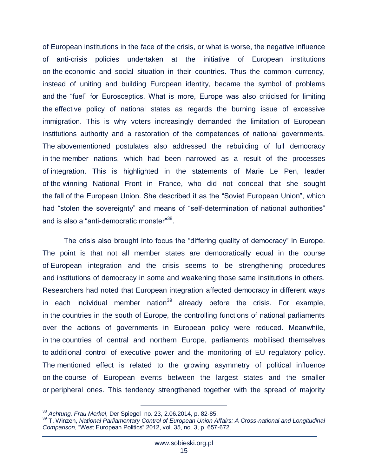of European institutions in the face of the crisis, or what is worse, the negative influence of anti-crisis policies undertaken at the initiative of European institutions on the economic and social situation in their countries. Thus the common currency, instead of uniting and building European identity, became the symbol of problems and the "fuel" for Eurosceptics. What is more, Europe was also criticised for limiting the effective policy of national states as regards the burning issue of excessive immigration. This is why voters increasingly demanded the limitation of European institutions authority and a restoration of the competences of national governments. The abovementioned postulates also addressed the rebuilding of full democracy in the member nations, which had been narrowed as a result of the processes of integration. This is highlighted in the statements of Marie Le Pen, leader of the winning National Front in France, who did not conceal that she sought the fall of the European Union. She described it as the "Soviet European Union", which had "stolen the sovereignty" and means of "self-determination of national authorities" and is also a "anti-democratic monster"<sup>38</sup>.

The crisis also brought into focus the "differing quality of democracy" in Europe. The point is that not all member states are democratically equal in the course of European integration and the crisis seems to be strengthening procedures and institutions of democracy in some and weakening those same institutions in others. Researchers had noted that European integration affected democracy in different ways in each individual member nation<sup>39</sup> already before the crisis. For example, in the countries in the south of Europe, the controlling functions of national parliaments over the actions of governments in European policy were reduced. Meanwhile, in the countries of central and northern Europe, parliaments mobilised themselves to additional control of executive power and the monitoring of EU regulatory policy. The mentioned effect is related to the growing asymmetry of political influence on the course of European events between the largest states and the smaller or peripheral ones. This tendency strengthened together with the spread of majority

<sup>38</sup> *Achtung, Frau Merkel*, Der Spiegel no. 23, 2.06.2014, p. 82-85.

<sup>39</sup> T. Winzen, *National Parliamentary Control of European Union Affairs: A Cross-national and Longitudinal Comparison*, "West European Politics" 2012, vol. 35, no. 3, p. 657-672.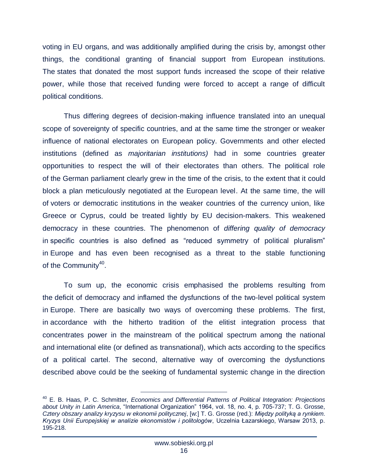voting in EU organs, and was additionally amplified during the crisis by, amongst other things, the conditional granting of financial support from European institutions. The states that donated the most support funds increased the scope of their relative power, while those that received funding were forced to accept a range of difficult political conditions.

Thus differing degrees of decision-making influence translated into an unequal scope of sovereignty of specific countries, and at the same time the stronger or weaker influence of national electorates on European policy. Governments and other elected institutions (defined as *majoritarian institutions)* had in some countries greater opportunities to respect the will of their electorates than others. The political role of the German parliament clearly grew in the time of the crisis, to the extent that it could block a plan meticulously negotiated at the European level. At the same time, the will of voters or democratic institutions in the weaker countries of the currency union, like Greece or Cyprus, could be treated lightly by EU decision-makers. This weakened democracy in these countries. The phenomenon of *differing quality of democracy*  in specific countries is also defined as "reduced symmetry of political pluralism" in Europe and has even been recognised as a threat to the stable functioning of the Community<sup>40</sup>.

To sum up, the economic crisis emphasised the problems resulting from the deficit of democracy and inflamed the dysfunctions of the two-level political system in Europe. There are basically two ways of overcoming these problems. The first, in accordance with the hitherto tradition of the elitist integration process that concentrates power in the mainstream of the political spectrum among the national and international elite (or defined as transnational), which acts according to the specifics of a political cartel. The second, alternative way of overcoming the dysfunctions described above could be the seeking of fundamental systemic change in the direction

 $\overline{a}$ <sup>40</sup> E. B. Haas, P. C. Schmitter, *Economics and Differential Patterns of Political Integration: Projections about Unity in Latin America*, "International Organization" 1964, vol. 18, no. 4, p. 705-737; T. G. Grosse, *Cztery obszary analizy kryzysu w ekonomii politycznej*, [w:] T. G. Grosse (red.): *Między polityką a rynkiem. Kryzys Unii Europejskiej w analizie ekonomistów i politologów*, Uczelnia Łazarskiego, Warsaw 2013, p. 195-218.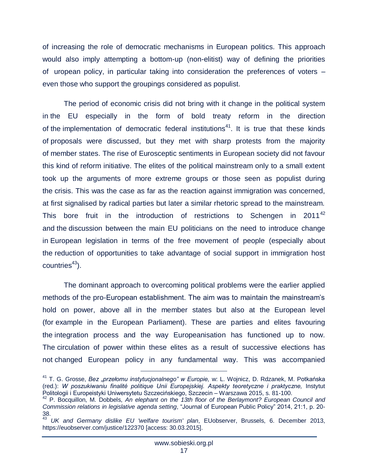of increasing the role of democratic mechanisms in European politics. This approach would also imply attempting a bottom-up (non-elitist) way of defining the priorities of uropean policy, in particular taking into consideration the preferences of voters – even those who support the groupings considered as populist.

The period of economic crisis did not bring with it change in the political system in the EU especially in the form of bold treaty reform in the direction of the implementation of democratic federal institutions<sup>41</sup>. It is true that these kinds of proposals were discussed, but they met with sharp protests from the majority of member states. The rise of Eurosceptic sentiments in European society did not favour this kind of reform initiative. The elites of the political mainstream only to a small extent took up the arguments of more extreme groups or those seen as populist during the crisis. This was the case as far as the reaction against immigration was concerned, at first signalised by radical parties but later a similar rhetoric spread to the mainstream. This bore fruit in the introduction of restrictions to Schengen in  $2011^{42}$ and the discussion between the main EU politicians on the need to introduce change in European legislation in terms of the free movement of people (especially about the reduction of opportunities to take advantage of social support in immigration host  $countries<sup>43</sup>$ ).

The dominant approach to overcoming political problems were the earlier applied methods of the pro-European establishment. The aim was to maintain the mainstream's hold on power, above all in the member states but also at the European level (for example in the European Parliament). These are parties and elites favouring the integration process and the way Europeanisation has functioned up to now. The circulation of power within these elites as a result of successive elections has not changed European policy in any fundamental way. This was accompanied

<sup>&</sup>lt;sup>41</sup> T. G. Grosse, *Bez "przełomu instytucjonalnego" w Europie, w*: L. Wojnicz, D. Rdzanek, M. Potkańska (red.): *W poszukiwaniu finalité politique Unii Europejskiej. Aspekty teoretyczne i praktyczne,* Instytut Politologii i Europeistyki Uniwersytetu Szczecińskiego, Szczecin – Warszawa 2015, s. 81-100.

<sup>42</sup> P. Bocquillon, M. Dobbels, *An elephant on the 13th floor of the Berlaymont? European Council and Commission relations in legislative agenda setting*, "Journal of European Public Policy" 2014, 21:1, p. 20- 38.

<sup>43</sup> *UK and Germany dislike EU 'welfare tourism' plan*, EUobserver, Brussels, 6. December 2013, <https://euobserver.com/justice/122370> [access: 30.03.2015].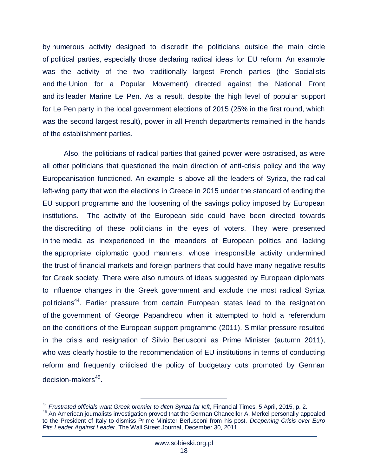by numerous activity designed to discredit the politicians outside the main circle of political parties, especially those declaring radical ideas for EU reform. An example was the activity of the two traditionally largest French parties (the Socialists and the Union for a Popular Movement) directed against the National Front and its leader Marine Le Pen. As a result, despite the high level of popular support for Le Pen party in the local government elections of 2015 (25% in the first round, which was the second largest result), power in all French departments remained in the hands of the establishment parties.

Also, the politicians of radical parties that gained power were ostracised, as were all other politicians that questioned the main direction of anti-crisis policy and the way Europeanisation functioned. An example is above all the leaders of Syriza, the radical left-wing party that won the elections in Greece in 2015 under the standard of ending the EU support programme and the loosening of the savings policy imposed by European institutions. The activity of the European side could have been directed towards the discrediting of these politicians in the eyes of voters. They were presented in the media as inexperienced in the meanders of European politics and lacking the appropriate diplomatic good manners, whose irresponsible activity undermined the trust of financial markets and foreign partners that could have many negative results for Greek society. There were also rumours of ideas suggested by European diplomats to influence changes in the Greek government and exclude the most radical Syriza politicians<sup>44</sup>. Earlier pressure from certain European states lead to the resignation of the government of George Papandreou when it attempted to hold a referendum on the conditions of the European support programme (2011). Similar pressure resulted in the crisis and resignation of Silvio Berlusconi as Prime Minister (autumn 2011), who was clearly hostile to the recommendation of EU institutions in terms of conducting reform and frequently criticised the policy of budgetary cuts promoted by German decision-makers<sup>45</sup>.

 $\overline{a}$ <sup>44</sup> *Frustrated officials want Greek premier to ditch Syriza far left*, Financial Times, 5 April, 2015, p. 2.

<sup>&</sup>lt;sup>45</sup> An American journalists investigation proved that the German Chancellor A. Merkel personally appealed to the President of Italy to dismiss Prime Minister Berlusconi from his post. *Deepening Crisis over Euro Pits Leader Against Leader*, The Wall Street Journal, December 30, 2011.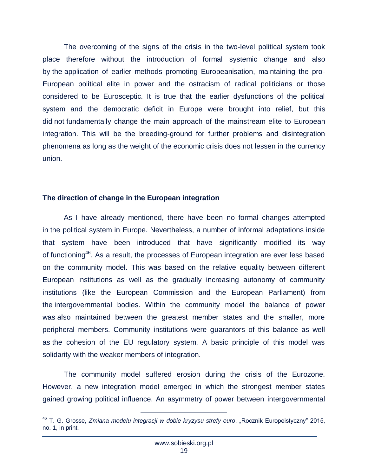The overcoming of the signs of the crisis in the two-level political system took place therefore without the introduction of formal systemic change and also by the application of earlier methods promoting Europeanisation, maintaining the pro-European political elite in power and the ostracism of radical politicians or those considered to be Eurosceptic. It is true that the earlier dysfunctions of the political system and the democratic deficit in Europe were brought into relief, but this did not fundamentally change the main approach of the mainstream elite to European integration. This will be the breeding-ground for further problems and disintegration phenomena as long as the weight of the economic crisis does not lessen in the currency union.

#### **The direction of change in the European integration**

As I have already mentioned, there have been no formal changes attempted in the political system in Europe. Nevertheless, a number of informal adaptations inside that system have been introduced that have significantly modified its way of functioning<sup>46</sup>. As a result, the processes of European integration are ever less based on the community model. This was based on the relative equality between different European institutions as well as the gradually increasing autonomy of community institutions (like the European Commission and the European Parliament) from the intergovernmental bodies. Within the community model the balance of power was also maintained between the greatest member states and the smaller, more peripheral members. Community institutions were guarantors of this balance as well as the cohesion of the EU regulatory system. A basic principle of this model was solidarity with the weaker members of integration.

The community model suffered erosion during the crisis of the Eurozone. However, a new integration model emerged in which the strongest member states gained growing political influence. An asymmetry of power between intergovernmental

<sup>&</sup>lt;sup>46</sup> T. G. Grosse, *Zmiana modelu integracji w dobie kryzysu strefy euro*, "Rocznik Europeistyczny" 2015, no. 1, in print.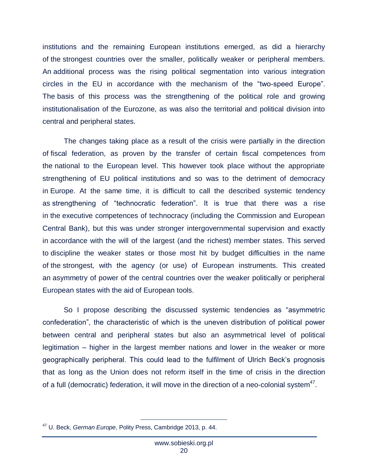institutions and the remaining European institutions emerged, as did a hierarchy of the strongest countries over the smaller, politically weaker or peripheral members. An additional process was the rising political segmentation into various integration circles in the EU in accordance with the mechanism of the "two-speed Europe". The basis of this process was the strengthening of the political role and growing institutionalisation of the Eurozone, as was also the territorial and political division into central and peripheral states.

The changes taking place as a result of the crisis were partially in the direction of fiscal federation, as proven by the transfer of certain fiscal competences from the national to the European level. This however took place without the appropriate strengthening of EU political institutions and so was to the detriment of democracy in Europe. At the same time, it is difficult to call the described systemic tendency as strengthening of "technocratic federation". It is true that there was a rise in the executive competences of technocracy (including the Commission and European Central Bank), but this was under stronger intergovernmental supervision and exactly in accordance with the will of the largest (and the richest) member states. This served to discipline the weaker states or those most hit by budget difficulties in the name of the strongest, with the agency (or use) of European instruments. This created an asymmetry of power of the central countries over the weaker politically or peripheral European states with the aid of European tools.

So I propose describing the discussed systemic tendencies as "asymmetric confederation", the characteristic of which is the uneven distribution of political power between central and peripheral states but also an asymmetrical level of political legitimation – higher in the largest member nations and lower in the weaker or more geographically peripheral. This could lead to the fulfilment of Ulrich Beck's prognosis that as long as the Union does not reform itself in the time of crisis in the direction of a full (democratic) federation, it will move in the direction of a neo-colonial system<sup>47</sup>.

 $\overline{a}$ <sup>47</sup> U. Beck, *German Europe*, Polity Press, Cambridge 2013, p. 44.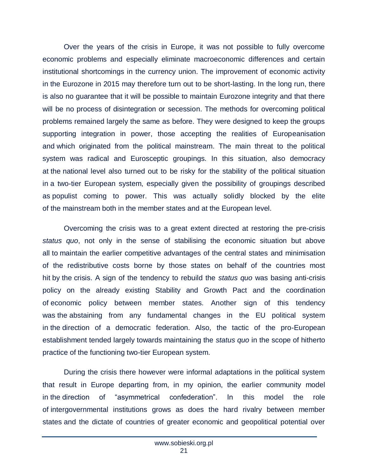Over the years of the crisis in Europe, it was not possible to fully overcome economic problems and especially eliminate macroeconomic differences and certain institutional shortcomings in the currency union. The improvement of economic activity in the Eurozone in 2015 may therefore turn out to be short-lasting. In the long run, there is also no guarantee that it will be possible to maintain Eurozone integrity and that there will be no process of disintegration or secession. The methods for overcoming political problems remained largely the same as before. They were designed to keep the groups supporting integration in power, those accepting the realities of Europeanisation and which originated from the political mainstream. The main threat to the political system was radical and Eurosceptic groupings. In this situation, also democracy at the national level also turned out to be risky for the stability of the political situation in a two-tier European system, especially given the possibility of groupings described as populist coming to power. This was actually solidly blocked by the elite of the mainstream both in the member states and at the European level.

Overcoming the crisis was to a great extent directed at restoring the pre-crisis *status quo*, not only in the sense of stabilising the economic situation but above all to maintain the earlier competitive advantages of the central states and minimisation of the redistributive costs borne by those states on behalf of the countries most hit by the crisis. A sign of the tendency to rebuild the *status quo* was basing anti-crisis policy on the already existing Stability and Growth Pact and the coordination of economic policy between member states. Another sign of this tendency was the abstaining from any fundamental changes in the EU political system in the direction of a democratic federation. Also, the tactic of the pro-European establishment tended largely towards maintaining the *status quo* in the scope of hitherto practice of the functioning two-tier European system.

During the crisis there however were informal adaptations in the political system that result in Europe departing from, in my opinion, the earlier community model in the direction of "asymmetrical confederation". In this model the role of intergovernmental institutions grows as does the hard rivalry between member states and the dictate of countries of greater economic and geopolitical potential over